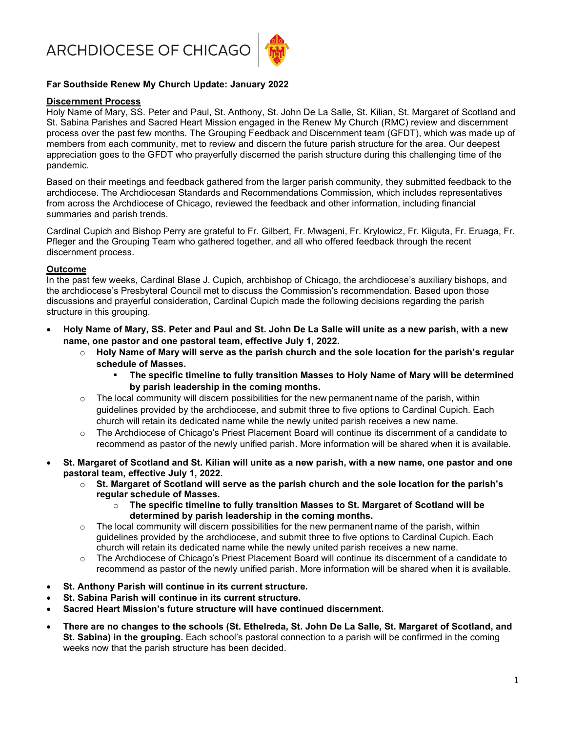ARCHDIOCESE OF CHICAGO



## Far Southside Renew My Church Update: January 2022

### Discernment Process

Holy Name of Mary, SS. Peter and Paul, St. Anthony, St. John De La Salle, St. Kilian, St. Margaret of Scotland and St. Sabina Parishes and Sacred Heart Mission engaged in the Renew My Church (RMC) review and discernment process over the past few months. The Grouping Feedback and Discernment team (GFDT), which was made up of members from each community, met to review and discern the future parish structure for the area. Our deepest appreciation goes to the GFDT who prayerfully discerned the parish structure during this challenging time of the pandemic.

Based on their meetings and feedback gathered from the larger parish community, they submitted feedback to the archdiocese. The Archdiocesan Standards and Recommendations Commission, which includes representatives from across the Archdiocese of Chicago, reviewed the feedback and other information, including financial summaries and parish trends.

Cardinal Cupich and Bishop Perry are grateful to Fr. Gilbert, Fr. Mwageni, Fr. Krylowicz, Fr. Kiiguta, Fr. Eruaga, Fr. Pfleger and the Grouping Team who gathered together, and all who offered feedback through the recent discernment process.

### Outcome

In the past few weeks, Cardinal Blase J. Cupich, archbishop of Chicago, the archdiocese's auxiliary bishops, and the archdiocese's Presbyteral Council met to discuss the Commission's recommendation. Based upon those discussions and prayerful consideration, Cardinal Cupich made the following decisions regarding the parish structure in this grouping.

- Holy Name of Mary, SS. Peter and Paul and St. John De La Salle will unite as a new parish, with a new name, one pastor and one pastoral team, effective July 1, 2022.
	- $\circ$  Holy Name of Mary will serve as the parish church and the sole location for the parish's regular schedule of Masses.
		- The specific timeline to fully transition Masses to Holy Name of Mary will be determined by parish leadership in the coming months.
	- $\circ$  The local community will discern possibilities for the new permanent name of the parish, within guidelines provided by the archdiocese, and submit three to five options to Cardinal Cupich. Each church will retain its dedicated name while the newly united parish receives a new name.
	- o The Archdiocese of Chicago's Priest Placement Board will continue its discernment of a candidate to recommend as pastor of the newly unified parish. More information will be shared when it is available.
- St. Margaret of Scotland and St. Kilian will unite as a new parish, with a new name, one pastor and one pastoral team, effective July 1, 2022.
	- $\circ$  St. Margaret of Scotland will serve as the parish church and the sole location for the parish's regular schedule of Masses.
		- o The specific timeline to fully transition Masses to St. Margaret of Scotland will be determined by parish leadership in the coming months.
	- $\circ$  The local community will discern possibilities for the new permanent name of the parish, within guidelines provided by the archdiocese, and submit three to five options to Cardinal Cupich. Each church will retain its dedicated name while the newly united parish receives a new name.
	- The Archdiocese of Chicago's Priest Placement Board will continue its discernment of a candidate to recommend as pastor of the newly unified parish. More information will be shared when it is available.
- St. Anthony Parish will continue in its current structure.
- St. Sabina Parish will continue in its current structure.
- Sacred Heart Mission's future structure will have continued discernment.
- There are no changes to the schools (St. Ethelreda, St. John De La Salle, St. Margaret of Scotland, and St. Sabina) in the grouping. Each school's pastoral connection to a parish will be confirmed in the coming weeks now that the parish structure has been decided.